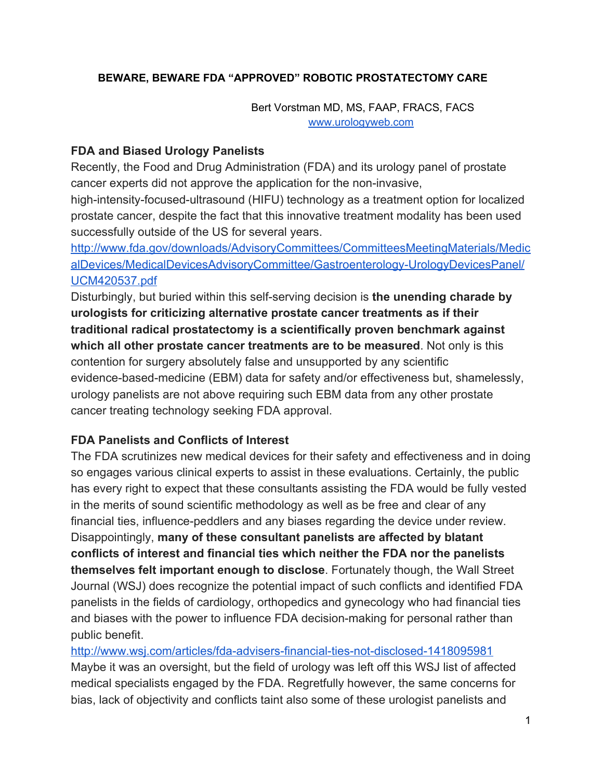### **BEWARE, BEWARE FDA "APPROVED" ROBOTIC PROSTATECTOMY CARE**

Bert Vorstman MD, MS, FAAP, FRACS, FACS [www.urologyweb.com](http://www.urologyweb.com/)

### **FDA and Biased Urology Panelists**

Recently, the Food and Drug Administration (FDA) and its urology panel of prostate cancer experts did not approve the application for the non-invasive,

high-intensity-focused-ultrasound (HIFU) technology as a treatment option for localized prostate cancer, despite the fact that this innovative treatment modality has been used successfully outside of the US for several years.

[http://www.fda.gov/downloads/AdvisoryCommittees/CommitteesMeetingMaterials/Medic](http://www.fda.gov/downloads/AdvisoryCommittees/CommitteesMeetingMaterials/MedicalDevices/MedicalDevicesAdvisoryCommittee/Gastroenterology-UrologyDevicesPanel/UCM420537.pdf) alDevices/MedicalDevicesAdvisoryCommittee/Gastroenterology-UrologyDevicesPanel/ [UCM420537.pdf](http://www.fda.gov/downloads/AdvisoryCommittees/CommitteesMeetingMaterials/MedicalDevices/MedicalDevicesAdvisoryCommittee/Gastroenterology-UrologyDevicesPanel/UCM420537.pdf)

**Disturbingly, but buried within this self-serving decision is the unending charade by urologists for criticizing alternative prostate cancer treatments as if their traditional radical prostatectomy is a scientifically proven benchmark against which all other prostate cancer treatments are to be measured**. Not only is this contention for surgery absolutely false and unsupported by any scientific evidence-based-medicine (EBM) data for safety and/or effectiveness but, shamelessly, urology panelists are not above requiring such EBM data from any other prostate cancer treating technology seeking FDA approval.

### **FDA Panelists and Conflicts of Interest**

The FDA scrutinizes new medical devices for their safety and effectiveness and in doing so engages various clinical experts to assist in these evaluations. Certainly, the public has every right to expect that these consultants assisting the FDA would be fully vested in the merits of sound scientific methodology as well as be free and clear of any financial ties, influence-peddlers and any biases regarding the device under review. Disappointingly, **many of these consultant panelists are affected by blatant conflicts of interest and financial ties which neither the FDA nor the panelists themselves felt important enough to disclose**. Fortunately though, the Wall Street Journal (WSJ) does recognize the potential impact of such conflicts and identified FDA panelists in the fields of cardiology, orthopedics and gynecology who had financial ties and biases with the power to influence FDA decision-making for personal rather than public benefit.

http://www.wsj.com/articles/fda-advisers-financial-ties-not-disclosed-1418095981 Maybe it was an oversight, but the field of urology was left off this WSJ list of affected medical specialists engaged by the FDA. Regretfully however, the same concerns for bias, lack of objectivity and conflicts taint also some of these urologist panelists and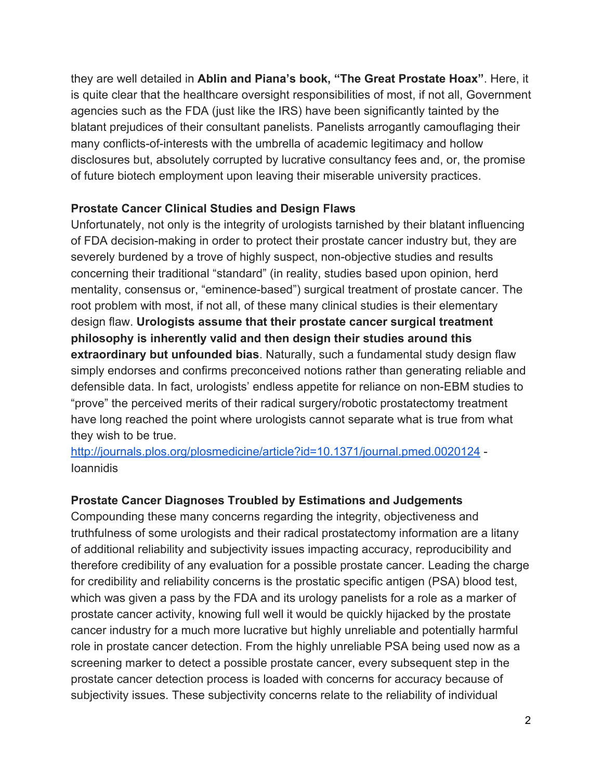they are well detailed in **Ablin and Piana's book, "The Great Prostate Hoax"**. Here, it is quite clear that the healthcare oversight responsibilities of most, if not all, Government agencies such as the FDA (just like the IRS) have been significantly tainted by the blatant prejudices of their consultant panelists. Panelists arrogantly camouflaging their many conflicts-of-interests with the umbrella of academic legitimacy and hollow disclosures but, absolutely corrupted by lucrative consultancy fees and, or, the promise of future biotech employment upon leaving their miserable university practices.

## **Prostate Cancer Clinical Studies and Design Flaws**

Unfortunately, not only is the integrity of urologists tarnished by their blatant influencing of FDA decision-making in order to protect their prostate cancer industry but, they are severely burdened by a trove of highly suspect, non-objective studies and results concerning their traditional "standard" (in reality, studies based upon opinion, herd mentality, consensus or, "eminence-based") surgical treatment of prostate cancer. The root problem with most, if not all, of these many clinical studies is their elementary design flaw. **Urologists assume that their prostate cancer surgical treatment philosophy is inherently valid and then design their studies around this extraordinary but unfounded bias**. Naturally, such a fundamental study design flaw simply endorses and confirms preconceived notions rather than generating reliable and defensible data. In fact, urologists' endless appetite for reliance on non-EBM studies to "prove" the perceived merits of their radical surgery/robotic prostatectomy treatment have long reached the point where urologists cannot separate what is true from what they wish to be true.

<http://journals.plos.org/plosmedicine/article?id=10.1371/journal.pmed.0020124> Ioannidis

# **Prostate Cancer Diagnoses Troubled by Estimations and Judgements**

Compounding these many concerns regarding the integrity, objectiveness and truthfulness of some urologists and their radical prostatectomy information are a litany of additional reliability and subjectivity issues impacting accuracy, reproducibility and therefore credibility of any evaluation for a possible prostate cancer. Leading the charge for credibility and reliability concerns is the prostatic specific antigen (PSA) blood test, which was given a pass by the FDA and its urology panelists for a role as a marker of prostate cancer activity, knowing full well it would be quickly hijacked by the prostate cancer industry for a much more lucrative but highly unreliable and potentially harmful role in prostate cancer detection. From the highly unreliable PSA being used now as a screening marker to detect a possible prostate cancer, every subsequent step in the prostate cancer detection process is loaded with concerns for accuracy because of subjectivity issues. These subjectivity concerns relate to the reliability of individual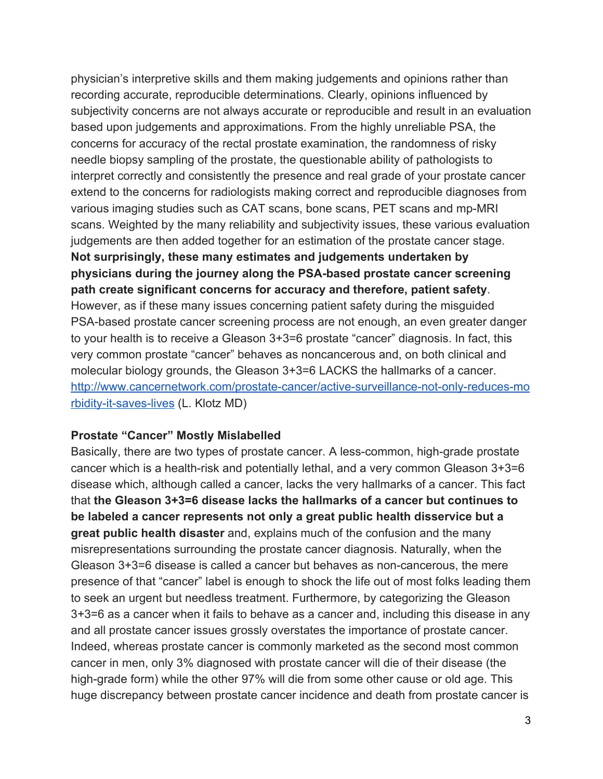physician's interpretive skills and them making judgements and opinions rather than recording accurate, reproducible determinations. Clearly, opinions influenced by subjectivity concerns are not always accurate or reproducible and result in an evaluation based upon judgements and approximations. From the highly unreliable PSA, the concerns for accuracy of the rectal prostate examination, the randomness of risky needle biopsy sampling of the prostate, the questionable ability of pathologists to interpret correctly and consistently the presence and real grade of your prostate cancer extend to the concerns for radiologists making correct and reproducible diagnoses from various imaging studies such as CAT scans, bone scans, PET scans and mp-MRI scans. Weighted by the many reliability and subjectivity issues, these various evaluation judgements are then added together for an estimation of the prostate cancer stage. **Not surprisingly, these many estimates and judgements undertaken by physicians during the journey along the PSAbased prostate cancer screening path create significant concerns for accuracy and therefore, patient safety**. However, as if these many issues concerning patient safety during the misguided PSA-based prostate cancer screening process are not enough, an even greater danger to your health is to receive a Gleason 3+3=6 prostate "cancer" diagnosis. In fact, this very common prostate "cancer" behaves as noncancerous and, on both clinical and molecular biology grounds, the Gleason 3+3=6 LACKS the hallmarks of a cancer. http://www.cancernetwork.com/prostate-cancer/active-surveillance-not-only-reduces-mo rbidity-it-saves-lives (L. Klotz MD)

#### **Prostate "Cancer" Mostly Mislabelled**

Basically, there are two types of prostate cancer. A less-common, high-grade prostate cancer which is a health-risk and potentially lethal, and a very common Gleason  $3+3=6$ disease which, although called a cancer, lacks the very hallmarks of a cancer. This fact that **the Gleason 3+3=6 disease lacks the hallmarks of a cancer but continues to be labeled a cancer represents not only a great public health disservice but a great public health disaster**and, explains much of the confusion and the many misrepresentations surrounding the prostate cancer diagnosis. Naturally, when the Gleason  $3+3=6$  disease is called a cancer but behaves as non-cancerous, the mere presence of that "cancer" label is enough to shock the life out of most folks leading them to seek an urgent but needless treatment. Furthermore, by categorizing the Gleason 3+3=6 as a cancer when it fails to behave as a cancer and, including this disease in any and all prostate cancer issues grossly overstates the importance of prostate cancer. Indeed, whereas prostate cancer is commonly marketed as the second most common cancer in men, only 3% diagnosed with prostate cancer will die of their disease (the high-grade form) while the other 97% will die from some other cause or old age. This huge discrepancy between prostate cancer incidence and death from prostate cancer is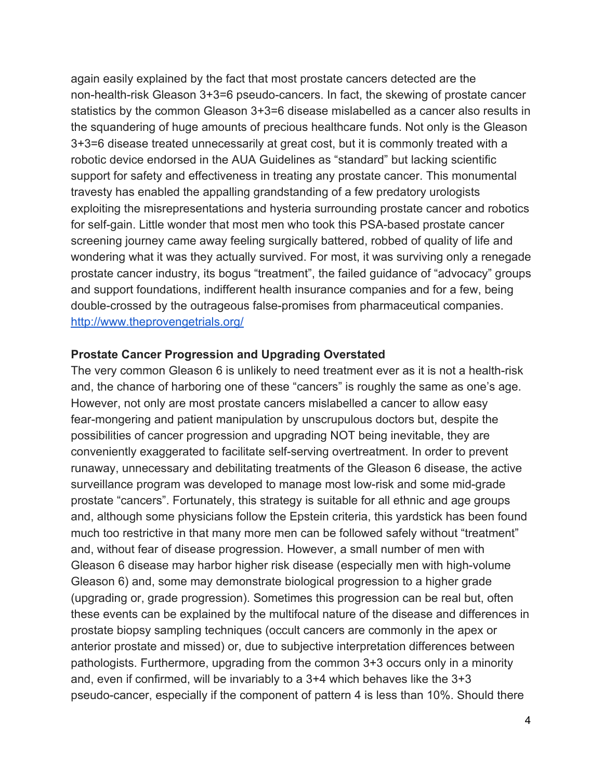again easily explained by the fact that most prostate cancers detected are the non-health-risk Gleason  $3+3=6$  pseudo-cancers. In fact, the skewing of prostate cancer statistics by the common Gleason 3+3=6 disease mislabelled as a cancer also results in the squandering of huge amounts of precious healthcare funds. Not only is the Gleason 3+3=6 disease treated unnecessarily at great cost, but it is commonly treated with a robotic device endorsed in the AUA Guidelines as "standard" but lacking scientific support for safety and effectiveness in treating any prostate cancer. This monumental travesty has enabled the appalling grandstanding of a few predatory urologists exploiting the misrepresentations and hysteria surrounding prostate cancer and robotics for self-gain. Little wonder that most men who took this PSA-based prostate cancer screening journey came away feeling surgically battered, robbed of quality of life and wondering what it was they actually survived. For most, it was surviving only a renegade prostate cancer industry, its bogus "treatment", the failed guidance of "advocacy" groups and support foundations, indifferent health insurance companies and for a few, being double-crossed by the outrageous false-promises from pharmaceutical companies. <http://www.theprovengetrials.org/>

#### **Prostate Cancer Progression and Upgrading Overstated**

The very common Gleason 6 is unlikely to need treatment ever as it is not a health-risk and, the chance of harboring one of these "cancers" is roughly the same as one's age. However, not only are most prostate cancers mislabelled a cancer to allow easy fear-mongering and patient manipulation by unscrupulous doctors but, despite the possibilities of cancer progression and upgrading NOT being inevitable, they are conveniently exaggerated to facilitate self-serving overtreatment. In order to prevent runaway, unnecessary and debilitating treatments of the Gleason 6 disease, the active surveillance program was developed to manage most low-risk and some mid-grade prostate "cancers". Fortunately, this strategy is suitable for all ethnic and age groups and, although some physicians follow the Epstein criteria, this yardstick has been found much too restrictive in that many more men can be followed safely without "treatment" and, without fear of disease progression. However, a small number of men with Gleason 6 disease may harbor higher risk disease (especially men with high-volume Gleason 6) and, some may demonstrate biological progression to a higher grade (upgrading or, grade progression). Sometimes this progression can be real but, often these events can be explained by the multifocal nature of the disease and differences in prostate biopsy sampling techniques (occult cancers are commonly in the apex or anterior prostate and missed) or, due to subjective interpretation differences between pathologists. Furthermore, upgrading from the common 3+3 occurs only in a minority and, even if confirmed, will be invariably to a 3+4 which behaves like the 3+3 pseudo-cancer, especially if the component of pattern 4 is less than 10%. Should there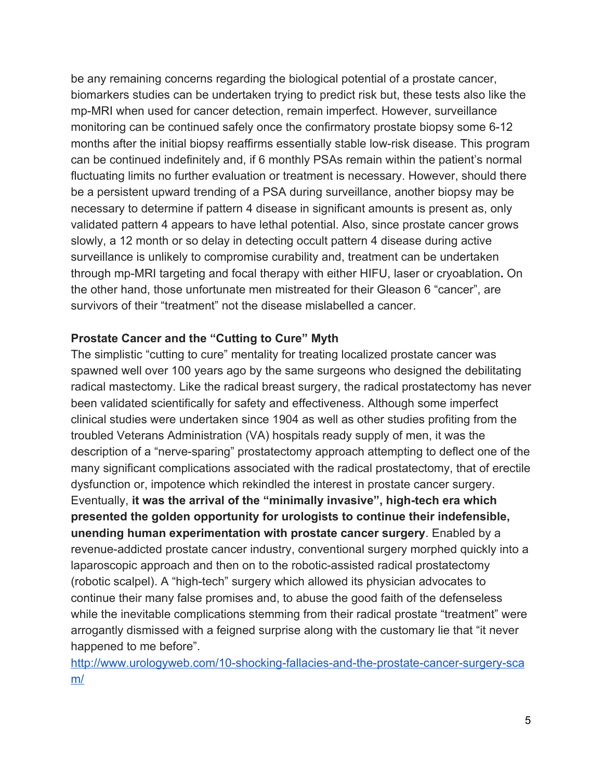be any remaining concerns regarding the biological potential of a prostate cancer, biomarkers studies can be undertaken trying to predict risk but, these tests also like the mp-MRI when used for cancer detection, remain imperfect. However, surveillance monitoring can be continued safely once the confirmatory prostate biopsy some 6-12 months after the initial biopsy reaffirms essentially stable low-risk disease. This program can be continued indefinitely and, if 6 monthly PSAs remain within the patient's normal fluctuating limits no further evaluation or treatment is necessary. However, should there be a persistent upward trending of a PSA during surveillance, another biopsy may be necessary to determine if pattern 4 disease in significant amounts is present as, only validated pattern 4 appears to have lethal potential. Also, since prostate cancer grows slowly, a 12 month or so delay in detecting occult pattern 4 disease during active surveillance is unlikely to compromise curability and, treatment can be undertaken through mp-MRI targeting and focal therapy with either HIFU, laser or cryoablation. On the other hand, those unfortunate men mistreated for their Gleason 6 "cancer", are survivors of their "treatment" not the disease mislabelled a cancer.

#### **Prostate Cancer and the "Cutting to Cure" Myth**

The simplistic "cutting to cure" mentality for treating localized prostate cancer was spawned well over 100 years ago by the same surgeons who designed the debilitating radical mastectomy. Like the radical breast surgery, the radical prostatectomy has never been validated scientifically for safety and effectiveness. Although some imperfect clinical studies were undertaken since 1904 as well as other studies profiting from the troubled Veterans Administration (VA) hospitals ready supply of men, it was the description of a "nerve-sparing" prostatectomy approach attempting to deflect one of the many significant complications associated with the radical prostatectomy, that of erectile dysfunction or, impotence which rekindled the interest in prostate cancer surgery. Eventually, it was the arrival of the "minimally invasive", high-tech era which **presented the golden opportunity for urologists to continue their indefensible, unending human experimentation with prostate cancer surgery**. Enabled by a revenue-addicted prostate cancer industry, conventional surgery morphed quickly into a laparoscopic approach and then on to the robotic-assisted radical prostatectomy (robotic scalpel). A "high-tech" surgery which allowed its physician advocates to continue their many false promises and, to abuse the good faith of the defenseless while the inevitable complications stemming from their radical prostate "treatment" were arrogantly dismissed with a feigned surprise along with the customary lie that "it never happened to me before".

http://www.urologyweb.com/10-shocking-fallacies-and-the-prostate-cancer-surgery-sca [m/](http://www.urologyweb.com/10-shocking-fallacies-and-the-prostate-cancer-surgery-scam/)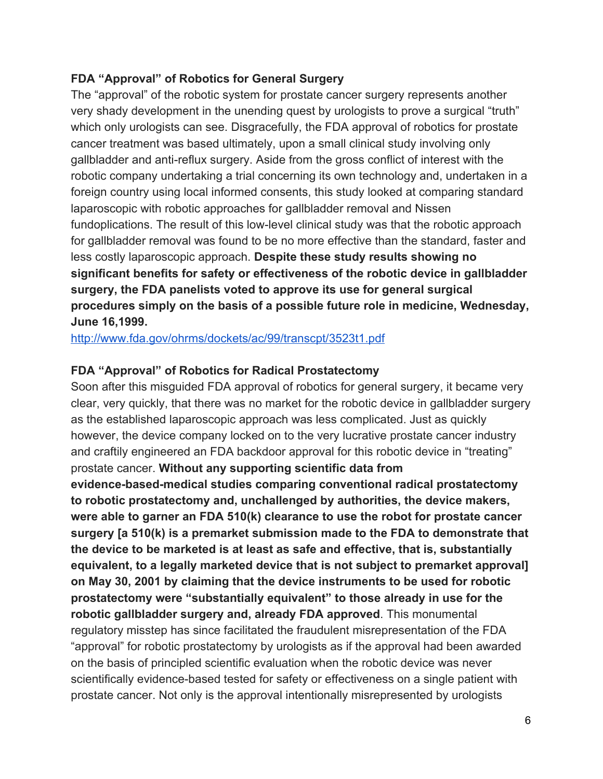### **FDA "Approval" of Robotics for General Surgery**

The "approval" of the robotic system for prostate cancer surgery represents another very shady development in the unending quest by urologists to prove a surgical "truth" which only urologists can see. Disgracefully, the FDA approval of robotics for prostate cancer treatment was based ultimately, upon a small clinical study involving only gallbladder and anti-reflux surgery. Aside from the gross conflict of interest with the robotic company undertaking a trial concerning its own technology and, undertaken in a foreign country using local informed consents, this study looked at comparing standard laparoscopic with robotic approaches for gallbladder removal and Nissen fundoplications. The result of this low-level clinical study was that the robotic approach for gallbladder removal was found to be no more effective than the standard, faster and less costly laparoscopic approach. **Despite these study results showing no significant benefits for safety or effectiveness of the robotic device in gallbladder surgery, the FDA panelists voted to approve its use for general surgical procedures simply on the basis of a possible future role in medicine, Wednesday, June 16,1999.**

<http://www.fda.gov/ohrms/dockets/ac/99/transcpt/3523t1.pdf>

### **FDA "Approval" of Robotics for Radical Prostatectomy**

Soon after this misguided FDA approval of robotics for general surgery, it became very clear, very quickly, that there was no market for the robotic device in gallbladder surgery as the established laparoscopic approach was less complicated. Just as quickly however, the device company locked on to the very lucrative prostate cancer industry and craftily engineered an FDA backdoor approval for this robotic device in "treating" prostate cancer. **Without any supporting scientific data from evidencebasedmedical studies comparing conventional radical prostatectomy**

**to robotic prostatectomy and, unchallenged by authorities, the device makers, were able to garner an FDA 510(k) clearance to use the robot for prostate cancer surgery [a 510(k) is a premarket submission made to the FDA to demonstrate that the device to be marketed is at least as safe and effective, that is, substantially equivalent, to a legally marketed device that is not subject to premarket approval] on May 30, 2001 by claiming that the device instruments to be used for robotic prostatectomy were "substantially equivalent" to those already in use for the robotic gallbladder surgery and, already FDA approved**. This monumental regulatory misstep has since facilitated the fraudulent misrepresentation of the FDA "approval" for robotic prostatectomy by urologists as if the approval had been awarded on the basis of principled scientific evaluation when the robotic device was never scientifically evidence-based tested for safety or effectiveness on a single patient with prostate cancer. Not only is the approval intentionally misrepresented by urologists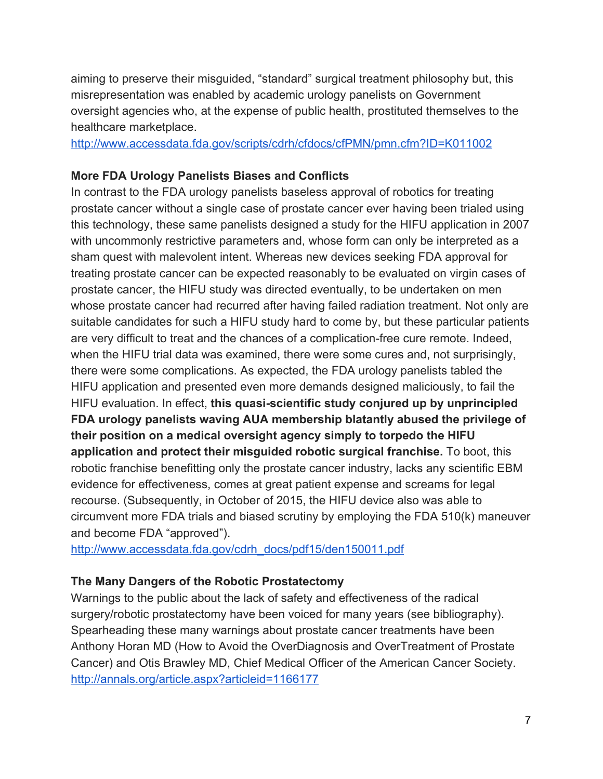aiming to preserve their misguided, "standard" surgical treatment philosophy but, this misrepresentation was enabled by academic urology panelists on Government oversight agencies who, at the expense of public health, prostituted themselves to the healthcare marketplace.

<http://www.accessdata.fda.gov/scripts/cdrh/cfdocs/cfPMN/pmn.cfm?ID=K011002>

#### **More FDA Urology Panelists Biases and Conflicts**

In contrast to the FDA urology panelists baseless approval of robotics for treating prostate cancer without a single case of prostate cancer ever having been trialed using this technology, these same panelists designed a study for the HIFU application in 2007 with uncommonly restrictive parameters and, whose form can only be interpreted as a sham quest with malevolent intent. Whereas new devices seeking FDA approval for treating prostate cancer can be expected reasonably to be evaluated on virgin cases of prostate cancer, the HIFU study was directed eventually, to be undertaken on men whose prostate cancer had recurred after having failed radiation treatment. Not only are suitable candidates for such a HIFU study hard to come by, but these particular patients are very difficult to treat and the chances of a complication-free cure remote. Indeed, when the HIFU trial data was examined, there were some cures and, not surprisingly, there were some complications. As expected, the FDA urology panelists tabled the HIFU application and presented even more demands designed maliciously, to fail the HIFU evaluation. In effect, **this quasiscientific study conjured up by unprincipled FDA urology panelists waving AUA membership blatantly abused the privilege of their position on a medical oversight agency simply to torpedo the HIFU application and protect their misguided robotic surgical franchise.**To boot, this robotic franchise benefitting only the prostate cancer industry, lacks any scientific EBM evidence for effectiveness, comes at great patient expense and screams for legal recourse. (Subsequently, in October of 2015, the HIFU device also was able to circumvent more FDA trials and biased scrutiny by employing the FDA 510(k) maneuver and become FDA "approved").

[http://www.accessdata.fda.gov/cdrh\\_docs/pdf15/den150011.pdf](http://www.accessdata.fda.gov/cdrh_docs/pdf15/den150011.pdf)

### **The Many Dangers of the Robotic Prostatectomy**

Warnings to the public about the lack of safety and effectiveness of the radical surgery/robotic prostatectomy have been voiced for many years (see bibliography). Spearheading these many warnings about prostate cancer treatments have been Anthony Horan MD (How to Avoid the OverDiagnosis and OverTreatment of Prostate Cancer) and Otis Brawley MD, Chief Medical Officer of the American Cancer Society. <http://annals.org/article.aspx?articleid=1166177>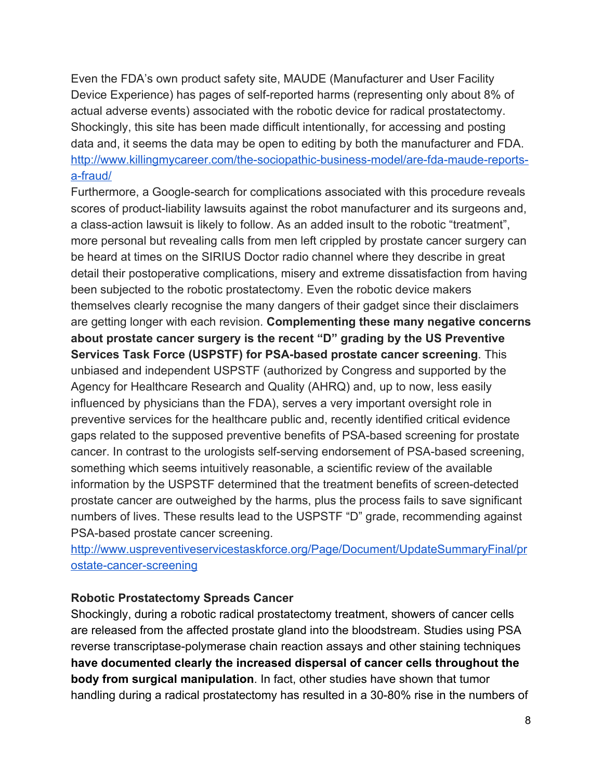Even the FDA's own product safety site, MAUDE (Manufacturer and User Facility Device Experience) has pages of self-reported harms (representing only about 8% of actual adverse events) associated with the robotic device for radical prostatectomy. Shockingly, this site has been made difficult intentionally, for accessing and posting data and, it seems the data may be open to editing by both the manufacturer and FDA. http://www.killingmycareer.com/the-sociopathic-business-model/are-fda-maude-reportsa-fraud/

Furthermore, a Google-search for complications associated with this procedure reveals scores of product-liability lawsuits against the robot manufacturer and its surgeons and, a class-action lawsuit is likely to follow. As an added insult to the robotic "treatment", more personal but revealing calls from men left crippled by prostate cancer surgery can be heard at times on the SIRIUS Doctor radio channel where they describe in great detail their postoperative complications, misery and extreme dissatisfaction from having been subjected to the robotic prostatectomy. Even the robotic device makers themselves clearly recognise the many dangers of their gadget since their disclaimers are getting longer with each revision. **Complementing these many negative concerns about prostate cancer surgery is the recent "D" grading by the US Preventive Services Task Force (USPSTF) for PSAbased prostate cancer screening**. This unbiased and independent USPSTF (authorized by Congress and supported by the Agency for Healthcare Research and Quality (AHRQ) and, up to now, less easily influenced by physicians than the FDA), serves a very important oversight role in preventive services for the healthcare public and, recently identified critical evidence gaps related to the supposed preventive benefits of PSA-based screening for prostate cancer. In contrast to the urologists self-serving endorsement of PSA-based screening, something which seems intuitively reasonable, a scientific review of the available information by the USPSTF determined that the treatment benefits of screen-detected prostate cancer are outweighed by the harms, plus the process fails to save significant numbers of lives. These results lead to the USPSTF "D" grade, recommending against PSA-based prostate cancer screening.

[http://www.uspreventiveservicestaskforce.org/Page/Document/UpdateSummaryFinal/pr](http://www.uspreventiveservicestaskforce.org/Page/Document/UpdateSummaryFinal/prostate-cancer-screening) ostate-cancer-screening

#### **Robotic Prostatectomy Spreads Cancer**

Shockingly, during a robotic radical prostatectomy treatment, showers of cancer cells are released from the affected prostate gland into the bloodstream. Studies using PSA reverse transcriptase-polymerase chain reaction assays and other staining techniques **have documented clearly the increased dispersal of cancer cells throughout the body from surgical manipulation**. In fact, other studies have shown that tumor handling during a radical prostatectomy has resulted in a 30-80% rise in the numbers of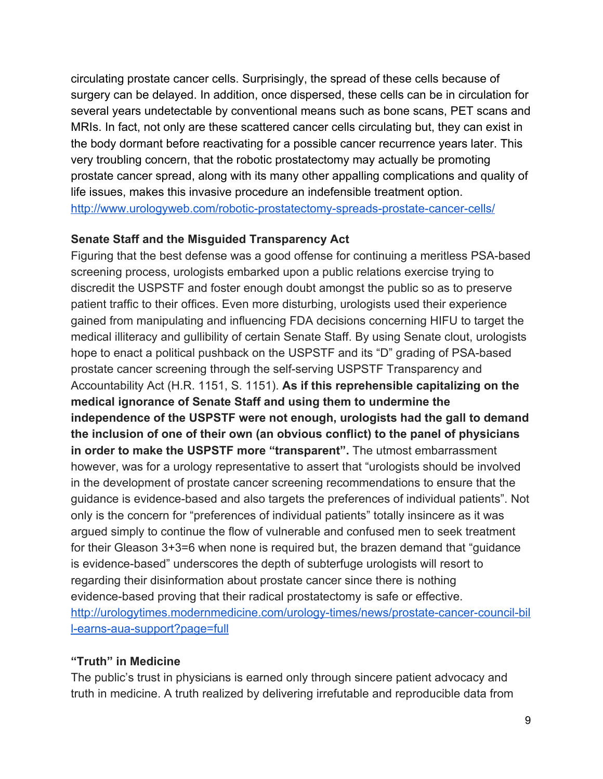circulating prostate cancer cells. Surprisingly, the spread of these cells because of surgery can be delayed. In addition, once dispersed, these cells can be in circulation for several years undetectable by conventional means such as bone scans, PET scans and MRIs. In fact, not only are these scattered cancer cells circulating but, they can exist in the body dormant before reactivating for a possible cancer recurrence years later. This very troubling concern, that the robotic prostatectomy may actually be promoting prostate cancer spread, along with its many other appalling complications and quality of life issues, makes this invasive procedure an indefensible treatment option. http://www.urologyweb.com/robotic-prostatectomy-spreads-prostate-cancer-cells/

## **Senate Staff and the Misguided Transparency Act**

Figuring that the best defense was a good offense for continuing a meritless PSA-based screening process, urologists embarked upon a public relations exercise trying to discredit the USPSTF and foster enough doubt amongst the public so as to preserve patient traffic to their offices. Even more disturbing, urologists used their experience gained from manipulating and influencing FDA decisions concerning HIFU to target the medical illiteracy and gullibility of certain Senate Staff. By using Senate clout, urologists hope to enact a political pushback on the USPSTF and its "D" grading of PSA-based prostate cancer screening through the self-serving USPSTF Transparency and Accountability Act (H.R. 1151, S. 1151). **As if this reprehensible capitalizing on the medical ignorance of Senate Staff and using them to undermine the independence of the USPSTF were not enough, urologists had the gall to demand the inclusion of one of their own (an obvious conflict) to the panel of physicians in order to make the USPSTF more "transparent".**The utmost embarrassment however, was for a urology representative to assert that "urologists should be involved in the development of prostate cancer screening recommendations to ensure that the guidance is evidence-based and also targets the preferences of individual patients". Not only is the concern for "preferences of individual patients" totally insincere as it was argued simply to continue the flow of vulnerable and confused men to seek treatment for their Gleason 3+3=6 when none is required but, the brazen demand that "guidance is evidence-based" underscores the depth of subterfuge urologists will resort to regarding their disinformation about prostate cancer since there is nothing evidence-based proving that their radical prostatectomy is safe or effective. http://urologytimes.modernmedicine.com/urology-times/news/prostate-cancer-council-bil l-earns-aua-support?page=full

# **"Truth" in Medicine**

The public's trust in physicians is earned only through sincere patient advocacy and truth in medicine. A truth realized by delivering irrefutable and reproducible data from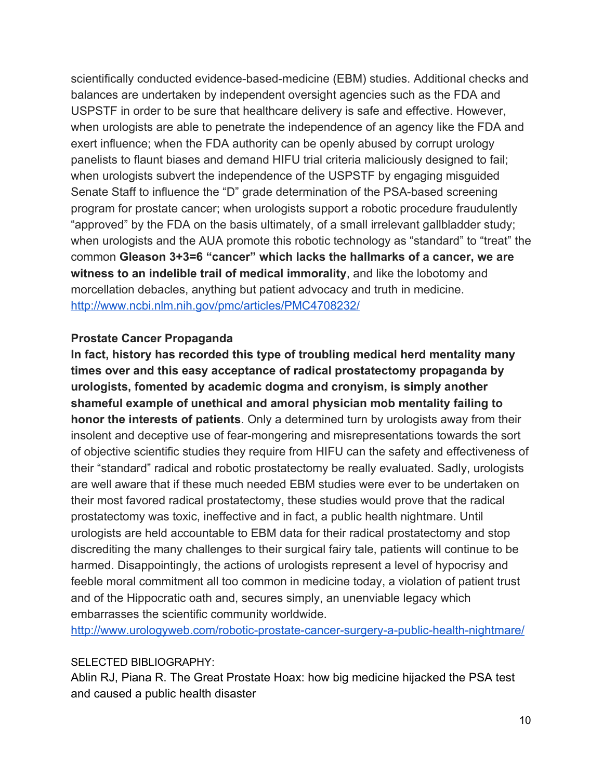scientifically conducted evidence-based-medicine (EBM) studies. Additional checks and balances are undertaken by independent oversight agencies such as the FDA and USPSTF in order to be sure that healthcare delivery is safe and effective. However, when urologists are able to penetrate the independence of an agency like the FDA and exert influence; when the FDA authority can be openly abused by corrupt urology panelists to flaunt biases and demand HIFU trial criteria maliciously designed to fail; when urologists subvert the independence of the USPSTF by engaging misguided Senate Staff to influence the "D" grade determination of the PSA-based screening program for prostate cancer; when urologists support a robotic procedure fraudulently "approved" by the FDA on the basis ultimately, of a small irrelevant gallbladder study; when urologists and the AUA promote this robotic technology as "standard" to "treat" the common **Gleason 3+3=6 "cancer" which lacks the hallmarks of a cancer, we are witness to an indelible trail of medical immorality**, and like the lobotomy and morcellation debacles, anything but patient advocacy and truth in medicine. <http://www.ncbi.nlm.nih.gov/pmc/articles/PMC4708232/>

#### **Prostate Cancer Propaganda**

**In fact, history has recorded this type of troubling medical herd mentality many times over and this easy acceptance of radical prostatectomy propaganda by urologists, fomented by academic dogma and cronyism, is simply another shameful example of unethical and amoral physician mob mentality failing to honor the interests of patients**. Only a determined turn by urologists away from their insolent and deceptive use of fear-mongering and misrepresentations towards the sort of objective scientific studies they require from HIFU can the safety and effectiveness of their "standard" radical and robotic prostatectomy be really evaluated. Sadly, urologists are well aware that if these much needed EBM studies were ever to be undertaken on their most favored radical prostatectomy, these studies would prove that the radical prostatectomy was toxic, ineffective and in fact, a public health nightmare. Until urologists are held accountable to EBM data for their radical prostatectomy and stop discrediting the many challenges to their surgical fairy tale, patients will continue to be harmed. Disappointingly, the actions of urologists represent a level of hypocrisy and feeble moral commitment all too common in medicine today, a violation of patient trust and of the Hippocratic oath and, secures simply, an unenviable legacy which embarrasses the scientific community worldwide.

http://www.urologyweb.com/robotic-prostate-cancer-surgery-a-public-health-nightmare/

### SELECTED BIBLIOGRAPHY:

Ablin RJ, Piana R. The Great Prostate Hoax: how big medicine hijacked the PSA test and caused a public health disaster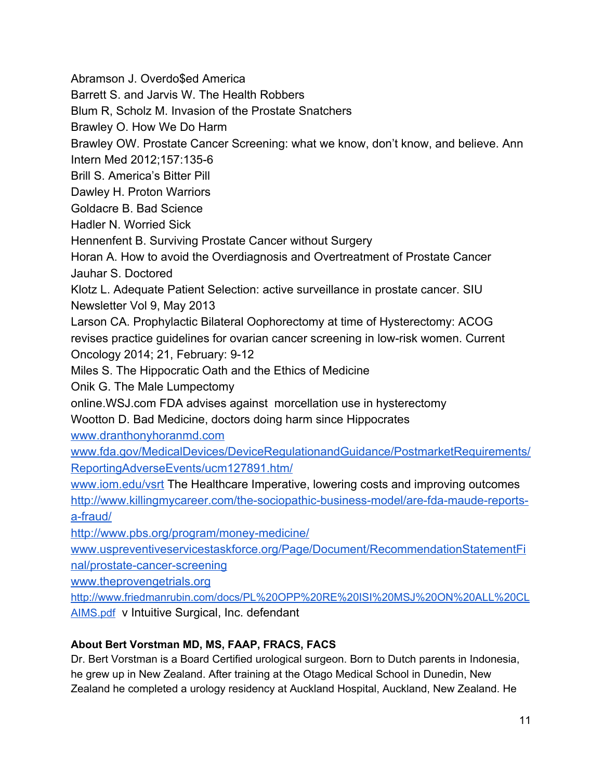Abramson J. Overdo\$ed America

Barrett S. and Jarvis W. The Health Robbers

Blum R, Scholz M. Invasion of the Prostate Snatchers

Brawley O. How We Do Harm

Brawley OW. Prostate Cancer Screening: what we know, don't know, and believe. Ann

Intern Med 2012;157:1356

Brill S. America's Bitter Pill

Dawley H. Proton Warriors

Goldacre B. Bad Science

Hadler N. Worried Sick

Hennenfent B. Surviving Prostate Cancer without Surgery

Horan A. How to avoid the Overdiagnosis and Overtreatment of Prostate Cancer Jauhar S. Doctored

Klotz L. Adequate Patient Selection: active surveillance in prostate cancer. SIU Newsletter Vol 9, May 2013

Larson CA. Prophylactic Bilateral Oophorectomy at time of Hysterectomy: ACOG revises practice guidelines for ovarian cancer screening in lowrisk women. Current Oncology 2014; 21, February: 9-12

Miles S. The Hippocratic Oath and the Ethics of Medicine

Onik G. The Male Lumpectomy

online.WSJ.com FDA advises against morcellation use in hysterectomy

Wootton D. Bad Medicine, doctors doing harm since Hippocrates

[www.dranthonyhoranmd.com](http://www.dranthonyhoranmd.com/)

[www.fda.gov/MedicalDevices/DeviceRegulationandGuidance/PostmarketRequirements/](http://www.fda.gov/MedicalDevices/DeviceRegulationandGuidance/PostmarketRequirements/ReportingAdverseEvents/ucm127891.htm/) [ReportingAdverseEvents/ucm127891.htm/](http://www.fda.gov/MedicalDevices/DeviceRegulationandGuidance/PostmarketRequirements/ReportingAdverseEvents/ucm127891.htm/)

[www.iom.edu/vsrt](http://www.iom.edu/vsrt) The Healthcare Imperative, lowering costs and improving outcomes

http://www.killingmycareer.com/the-sociopathic-business-model/are-fda-maude-reportsa-fraud/

http://www.pbs.org/program/money-medicine/

[www.uspreventiveservicestaskforce.org/Page/Document/RecommendationStatementFi](http://www.uspreventiveservicestaskforce.org/Page/Document/RecommendationStatementFinal/prostate-cancer-screening) nal/prostate-cancer-screening

[www.theprovengetrials.org](http://www.theprovengetrials.org/)

[http://www.friedmanrubin.com/docs/PL%20OPP%20RE%20ISI%20MSJ%20ON%20ALL%20CL](http://www.friedmanrubin.com/docs/PL%20OPP%20RE%20ISI%20MSJ%20ON%20ALL%20CLAIMS.pdf) [AIMS.pdf](http://www.friedmanrubin.com/docs/PL%20OPP%20RE%20ISI%20MSJ%20ON%20ALL%20CLAIMS.pdf) v Intuitive Surgical, Inc. defendant

# **About Bert Vorstman MD, MS, FAAP, FRACS, FACS**

Dr. Bert Vorstman is a Board Certified urological surgeon. Born to Dutch parents in Indonesia, he grew up in New Zealand. After training at the Otago Medical School in Dunedin, New Zealand he completed a urology residency at Auckland Hospital, Auckland, New Zealand. He